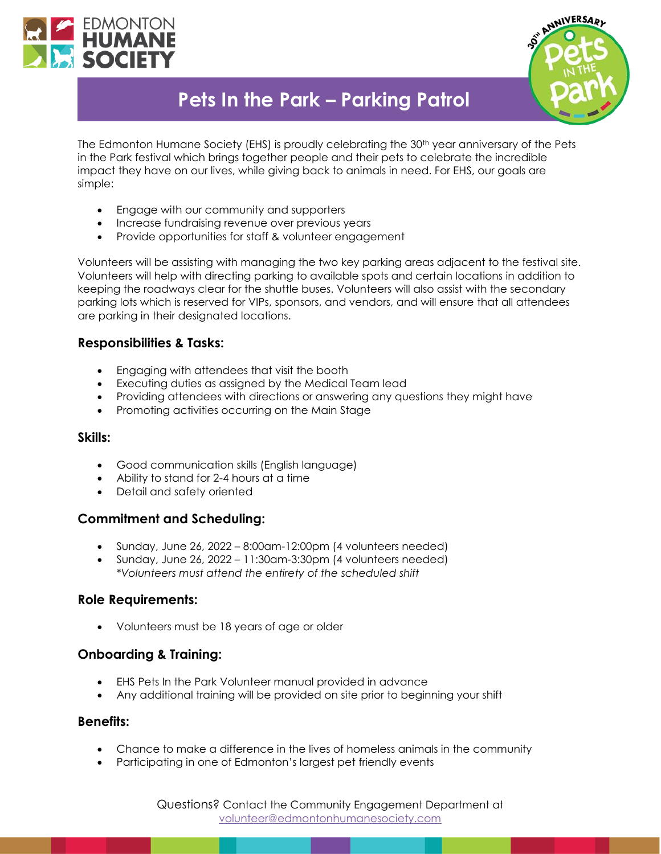



# **Pets In the Park – Parking Patrol**

The Edmonton Humane Society (EHS) is proudly celebrating the 30<sup>th</sup> year anniversary of the Pets in the Park festival which brings together people and their pets to celebrate the incredible impact they have on our lives, while giving back to animals in need. For EHS, our goals are simple:

- Engage with our community and supporters
- Increase fundraising revenue over previous years
- Provide opportunities for staff & volunteer engagement

Volunteers will be assisting with managing the two key parking areas adjacent to the festival site. Volunteers will help with directing parking to available spots and certain locations in addition to keeping the roadways clear for the shuttle buses. Volunteers will also assist with the secondary parking lots which is reserved for VIPs, sponsors, and vendors, and will ensure that all attendees are parking in their designated locations.

## **Responsibilities & Tasks:**

- Engaging with attendees that visit the booth
- Executing duties as assigned by the Medical Team lead
- Providing attendees with directions or answering any questions they might have
- Promoting activities occurring on the Main Stage

### **Skills:**

- Good communication skills (English language)
- Ability to stand for 2-4 hours at a time
- Detail and safety oriented

### **Commitment and Scheduling:**

- Sunday, June 26, 2022 8:00am-12:00pm (4 volunteers needed)
- Sunday, June 26, 2022 11:30am-3:30pm (4 volunteers needed) *\*Volunteers must attend the entirety of the scheduled shift*

### **Role Requirements:**

• Volunteers must be 18 years of age or older

## **Onboarding & Training:**

- EHS Pets In the Park Volunteer manual provided in advance
- Any additional training will be provided on site prior to beginning your shift

#### **Benefits:**

- Chance to make a difference in the lives of homeless animals in the community
- Participating in one of Edmonton's largest pet friendly events

Questions? Contact the Community Engagement Department at [volunteer@edmontonhumanesociety.com](mailto:volunteer@edmontonhumanesociety.com)